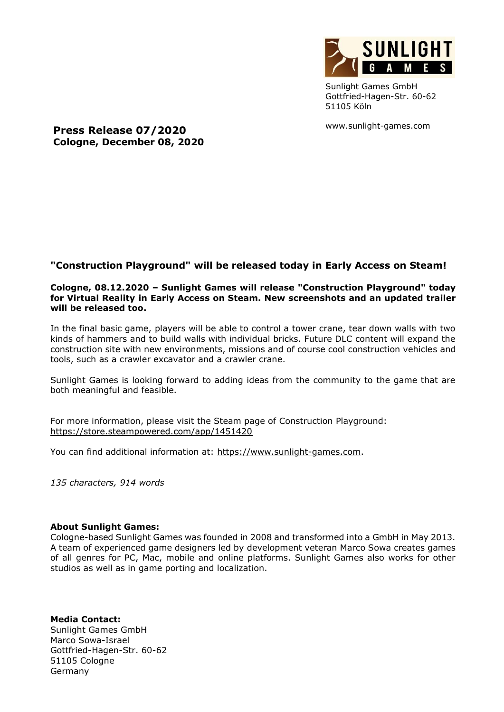

Sunlight Games GmbH Gottfried-Hagen-Str. 60-62 51105 Köln

www.sunlight-games.com

**Press Release 07/2020 Cologne, December 08, 2020**

## **"Construction Playground" will be released today in Early Access on Steam!**

## **Cologne, 08.12.2020 – Sunlight Games will release "Construction Playground" today for Virtual Reality in Early Access on Steam. New screenshots and an updated trailer will be released too.**

In the final basic game, players will be able to control a tower crane, tear down walls with two kinds of hammers and to build walls with individual bricks. Future DLC content will expand the construction site with new environments, missions and of course cool construction vehicles and tools, such as a crawler excavator and a crawler crane.

Sunlight Games is looking forward to adding ideas from the community to the game that are both meaningful and feasible.

For more information, please visit the Steam page of Construction Playground: [https://store.steampowered.com/app/1451420](https://store.steampowered.com/app/1451420/Construction_Playground)

You can find additional information at: [https://www.sunlight-games.com.](https://www.sunlight-games.com/)

*135 characters, 914 words*

## **About Sunlight Games:**

Cologne-based Sunlight Games was founded in 2008 and transformed into a GmbH in May 2013. A team of experienced game designers led by development veteran Marco Sowa creates games of all genres for PC, Mac, mobile and online platforms. Sunlight Games also works for other studios as well as in game porting and localization.

**Media Contact:** Sunlight Games GmbH Marco Sowa-Israel Gottfried-Hagen-Str. 60-62 51105 Cologne Germany